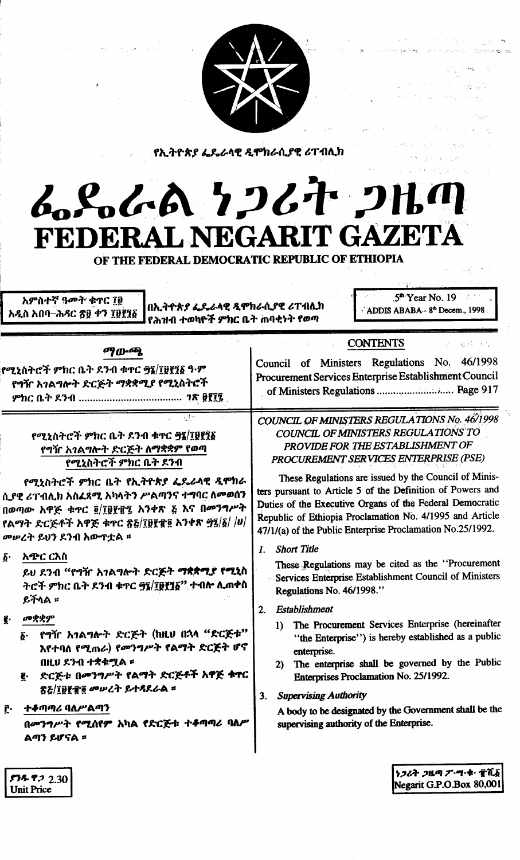

የኢትዮጵያ ፌዴራላዊ *ዲ*ሞክራሲያዊ ሪፐብሊክ

# L.S.L.A 7267-2160 FEDERAL NEGARIT GAZETA

OF THE FEDERAL DEMOCRATIC REPUBLIC OF ETHIOPIA

አምስተኛ ዓመት ቁጥር ፲፱ አዲስ አበባ–ሕዳር ፳፱ ቀን ፲፱፻፺፩

በኢትዮጵያ ፌዴራላዊ ዲሞክራሲያዊ ሪፐብሲክ የሕዝብ ተወካዮች ምክር ቤት ጠባቂነት የወጣ

 $5<sup>th</sup>$  Year No. 19 ADDIS ABABA -- 8th Decem., 1998

### ማውጫ

የሚኒስትሮች ምክር ቤት ደንብ ቁጥር ፵፪/፲፱፻፺፩ ዓ·ም የ<mark>ግ</mark>ዥ አ*ገ*ልግሎት ድርጅት ማቋቋሚያ የሚኒስትሮች 

## የሚኒስትሮች ምክር ቤት ደንብ ቁጥር ፵፯/፲፱፻፺፩ የግዥ አገልግሎት ድርጅት ለማቋቋም የወጣ የሚኒስትሮች ምክር ቤት ደንብ

የሚኒስትሮች ምክር ቤት የኢትዮጵያ ፌዴራላዊ ዲሞክራ ሲያዊ ሪፐብሊክ አስፈጻሚ አካላትን ሥልጣንና ተግባር ስመወሰን በወጣው አዋጅ ቁጥር ፬/፲፱፻፹፯ አንቀጽ ፭ እና በመንግሥት የልማት ድርጅቶች አዋጅ ቁጥር ጽ፩/፲፱፻፹፬ አንቀጽ ፵፯/፩/ /ሀ/ መሥረት ይህን ደንብ አውጥቷል ፡፡

አጭር ርእስ  $\delta$ .

> ይህ ደንብ "የግዥ አገልግሎት ድርጅት ማቋቋሚያ የሚኒስ ትሮች ምክር ቤት ደንብ ቁጥር ፵፯/፲፱፻፺፩'' ተብሎ ሊጠቀስ ይችላል ።

- መቋቋም
	- የግዥ አገልግሎት ድርጅት (ከዚሀ በኋላ "ድርጅቱ"  $\delta$ . እየተባለ የሚጠራ) የመንግሥት የልማት ድርጅት ሆኖ በዚህ ደንብ ተቋቁሟል ፡
	- ድርጅቱ በመንግሥት የልማት ድርጅቶች አዋጅ ቁዋር g. ጽ&/፲፱፻፹፬ መሠረት ይተዳደራል ፡
- ተቆጣጣሪ ባለሥልጣን f.

በመንግሥት የሚሰየም አካል የድርጅቱ ተቆጣጣሪ ባለ/ ልጣን ይሆናል ፡

COUNCIL OF MINISTERS REGULATIONS No. 46/1998 COUNCIL OF MINISTERS REGULATIONS' TO PROVIDE FOR THE ESTABLISHMENT OF PROCUREMENT SERVICES ENTERPRISE (PSE)

**CONTENTS** 

Council of Ministers Regulations No. 46/1998

Procurement Services Enterprise Establishment Council

of Ministers Regulations ................................ Page 917

These Regulations are issued by the Council of Ministers pursuant to Article 5 of the Definition of Powers and Duties of the Executive Organs of the Federal Democratic Republic of Ethiopia Proclamation No. 4/1995 and Article 47/1/(a) of the Public Enterprise Proclamation No.25/1992.

1. Short Title

These Regulations may be cited as the "Procurement" Services Enterprise Establishment Council of Ministers Regulations No. 46/1998."

- Establishment  $2<sub>1</sub>$ 
	- The Procurement Services Enterprise (hereinafter  $\mathbf{1}$ "the Enterprise") is hereby established as a public enterprise.
	- 2) The enterprise shall be governed by the Public Enterprises Proclamation No. 25/1992.

**Supervising Authority**  $3.$ 

> A body to be designated by the Government shall be the supervising authority of the Enterprise.

> > ነ*ጋሪት ጋ*ዜጣ ፖ・শ・ቁ・ すሺ፩ Negarit G.P.O.Box 80,001

 $538522.30$ **Unit Price**